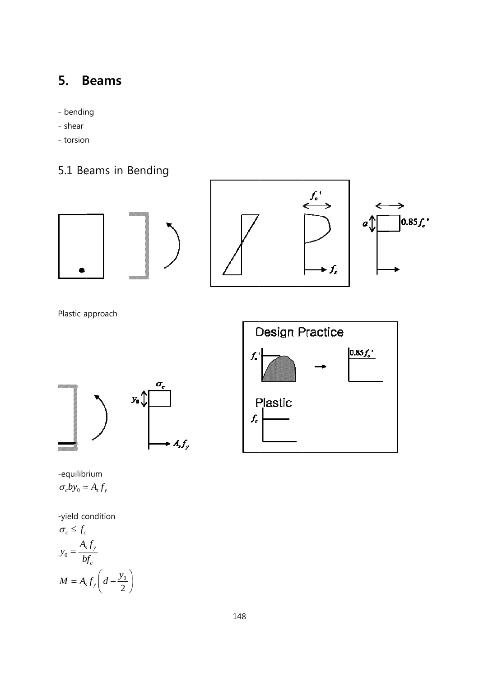## 5. **Beams**

- bending
- shear
- torsion
- 5.1 Beams in Bending







Plastic approach





-equilibrium  $\sigma_c by_0 = A_s f_y$ 

-yield condition

$$
\sigma_c \le f_c
$$
  
\n
$$
y_0 = \frac{A_s f_y}{b f_c}
$$
  
\n
$$
M = A_s f_y \left( d - \frac{y_0}{2} \right)
$$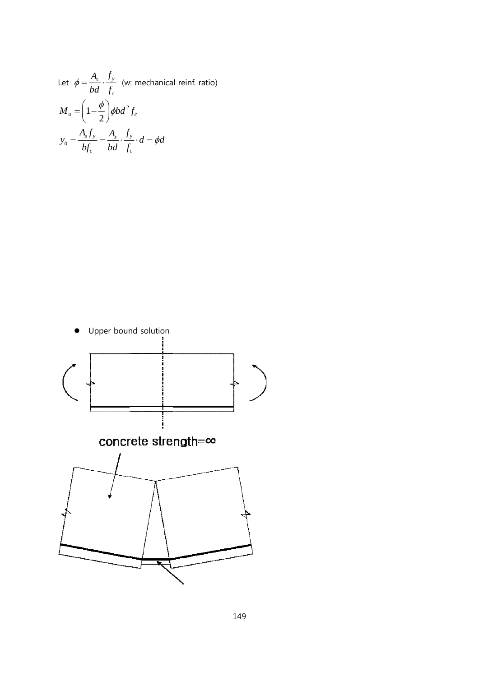Let 
$$
\phi = \frac{A_s}{bd} \cdot \frac{f_y}{f_c}
$$
 (w: mechanical reinf. ratio)  
\n
$$
M_u = \left(1 - \frac{\phi}{2}\right) \phi b d^2 f_c
$$
\n
$$
y_0 = \frac{A_s f_y}{bf_c} = \frac{A_s}{bd} \cdot \frac{f_y}{f_c} \cdot d = \phi d
$$

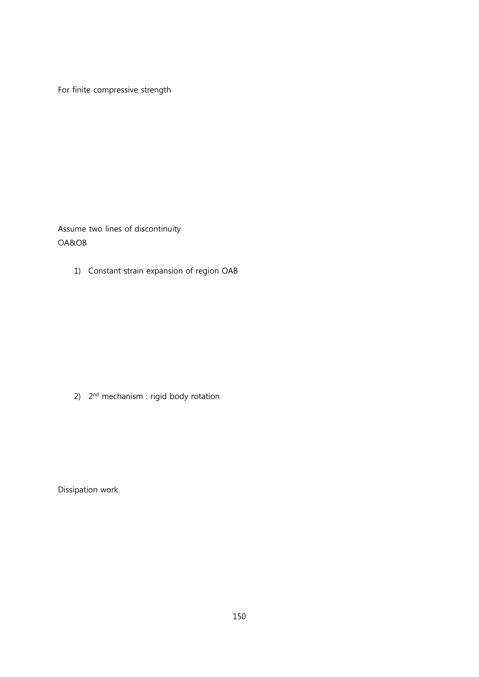For finite compressive strength

Assume two lines of discontinuity OA&OB

1) Constant strain expansion of region OAB

2) 2<sup>nd</sup> mechanism : rigid body rotation

Dissipation work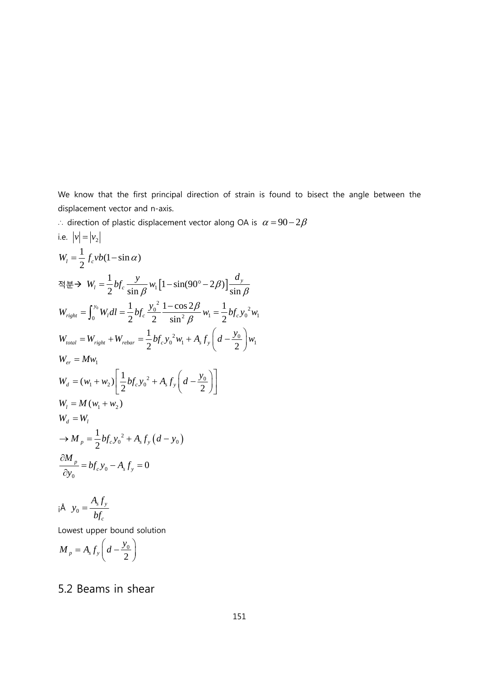We know that the first principal direction of strain is found to bisect the angle between the displacement vector and n-axis.

displacement vector and n-axis.<br>∴ direction of plastic displacement vector along OA is  $\alpha = 90-2\beta$ 

We know that the first principal direction of strain is found to  
\ndisplacement vector and n-axis.  
\n
$$
\therefore
$$
 direction of plastic displacement vector along OA is  $\alpha = 90-2$ ,  
\ni.e.  $|v| = |v_2|$   
\n
$$
W_t = \frac{1}{2} f_c v b (1 - \sin \alpha)
$$
\n
$$
\approx \frac{1}{2} b f_c \frac{y}{\sin \beta} w_1 [1 - \sin(90^\circ - 2\beta)] \frac{d_y}{\sin \beta}
$$
\n
$$
W_{right} = \int_0^{y_0} W_t dl = \frac{1}{2} b f_c \frac{y_0^2}{2} \frac{1 - \cos 2\beta}{\sin^2 \beta} w_1 = \frac{1}{2} b f_c y_0^2 w_1
$$
\n
$$
W_{total} = W_{right} + W_{rebar} = \frac{1}{2} b f_c y_0^2 w_1 + A_s f_y \left( d - \frac{y_0}{2} \right) w_1
$$
\n
$$
W_{er} = M w_1
$$
\n
$$
W_d = (w_1 + w_2) \left[ \frac{1}{2} b f_c y_0^2 + A_s f_y \left( d - \frac{y_0}{2} \right) \right]
$$
\n
$$
W_t = M (w_1 + w_2)
$$
\n
$$
W_d = W_t
$$
\n
$$
\Rightarrow M_p = \frac{1}{2} b f_c y_0^2 + A_s f_y (d - y_0)
$$
\n
$$
\frac{\partial M_p}{\partial y_0} = b f_c y_0 - A_s f_y = 0
$$

$$
i \mathbf{A} \quad y_0 = \frac{A_s f_y}{b f_c}
$$

Lowest upper bound solution

$$
M_p = A_s f_y \left( d - \frac{y_0}{2} \right)
$$

## 5.2 Be eams in s shear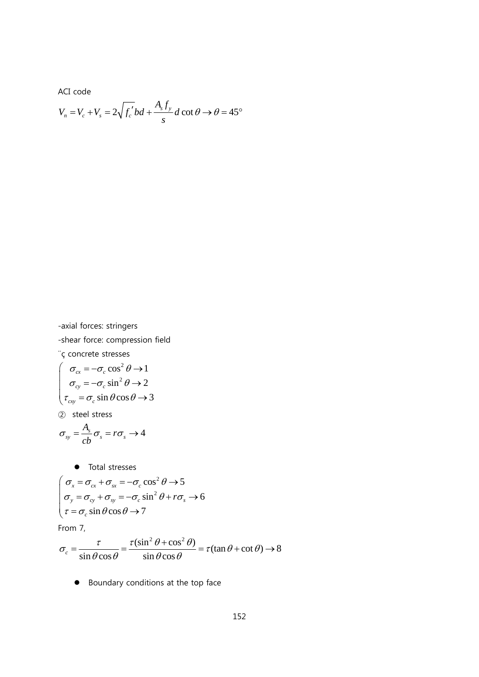ACI code

$$
V_n = V_c + V_s = 2\sqrt{f_c'}bd + \frac{A_s f_y}{s}d\cot\theta \rightarrow \theta = 45^\circ
$$

-axial forces: stringers -shear force: compression field

¨ç concrete stresses

$$
\begin{cases}\n\sigma_{cx} = -\sigma_c \cos^2 \theta \to 1 \\
\sigma_{cy} = -\sigma_c \sin^2 \theta \to 2 \\
\tau_{cxy} = \sigma_c \sin \theta \cos \theta \to 3\n\end{cases}
$$

② steel stress

$$
\sigma_{sy} = \frac{A_s}{cb} \sigma_s = r \sigma_s \rightarrow 4
$$

• Total stresses  
\n
$$
\sigma_x = \sigma_{cx} + \sigma_{sx} = -\sigma_c \cos^2 \theta \rightarrow 5
$$
\n
$$
\sigma_y = \sigma_{cy} + \sigma_{sy} = -\sigma_c \sin^2 \theta + r\sigma_s \rightarrow 6
$$
\n
$$
\tau = \sigma_c \sin \theta \cos \theta \rightarrow 7
$$

From 7,

$$
\sigma_c = \frac{\tau}{\sin \theta \cos \theta} = \frac{\tau(\sin^2 \theta + \cos^2 \theta)}{\sin \theta \cos \theta} = \tau(\tan \theta + \cot \theta) \to 8
$$

**•** Boundary conditions at the top face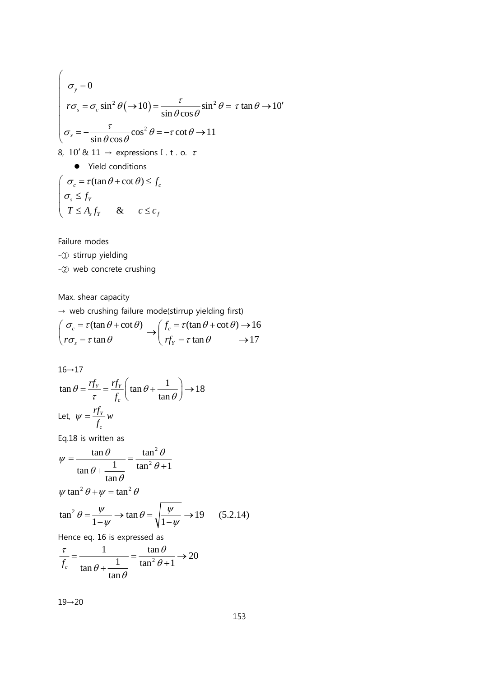$$
\begin{cases}\n\sigma_y = 0 \\
r\sigma_s = \sigma_c \sin^2 \theta (\rightarrow 10) = \frac{\tau}{\sin \theta \cos \theta} \sin^2 \theta = \tau \tan \theta \rightarrow 10' \\
\sigma_x = -\frac{\tau}{\sin \theta \cos \theta} \cos^2 \theta = -\tau \cot \theta \rightarrow 11 \\
8, 10' & \text{if } 1 \rightarrow \text{ expressions I. t. o. } \tau\n\end{cases}
$$
\n9. Field conditions\n
$$
\begin{cases}\n\sigma_c = \tau (\tan \theta + \cot \theta) \le f_c \\
\sigma_s \le f_Y \\
T \le A_s f_Y \quad & \text{if } c \le c_f\n\end{cases}
$$

Failure modes

-① stirrup yielding

-② web concrete crushing

Max. shear capacity

 $\rightarrow$  web crushing failure mode(stirrup yielding first)

$$
\begin{pmatrix}\n\sigma_c = \tau(\tan\theta + \cot\theta) \\
r\sigma_s = \tau \tan\theta\n\end{pmatrix} \rightarrow \begin{pmatrix}\nf_c = \tau(\tan\theta + \cot\theta) \rightarrow 16 \\
rf_Y = \tau \tan\theta\n\end{pmatrix}
$$

 $16 \rightarrow 17$ 

$$
\tan \theta = \frac{rf_Y}{\tau} = \frac{rf_Y}{f_c} \left( \tan \theta + \frac{1}{\tan \theta} \right) \rightarrow 18
$$
  
Let,  $\psi = \frac{rf_Y}{f_c} w$ 

Eq.18 is written as

$$
\psi = \frac{\tan \theta}{\tan \theta + \frac{1}{\tan \theta}} = \frac{\tan^2 \theta}{\tan^2 \theta + 1}
$$

$$
\psi \tan^2 \theta + \psi = \tan^2 \theta
$$

$$
\tan^2 \theta = \frac{\psi}{1 - \psi} \to \tan \theta = \sqrt{\frac{\psi}{1 - \psi}} \to 19 \quad (5.2.14)
$$

Hence eq. 16 is expressed as

$$
\frac{\tau}{f_c} = \frac{1}{\tan \theta + \frac{1}{\tan \theta}} = \frac{\tan \theta}{\tan^2 \theta + 1} \to 20
$$

19→20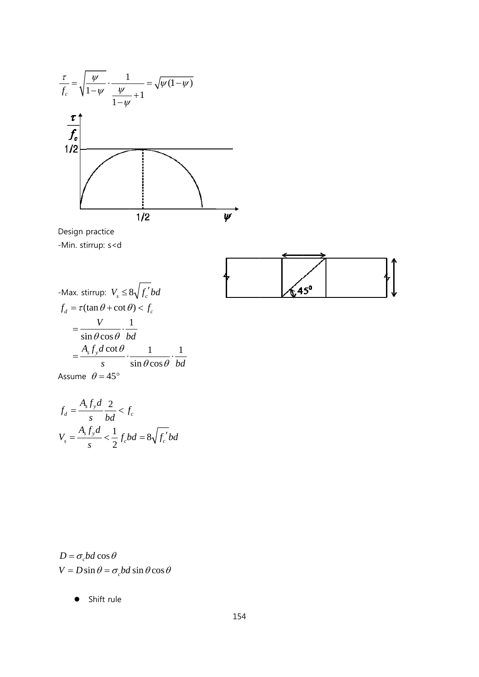

Design practice -Min. st irrup: s<d





Assume  $\theta = 45^{\circ}$ 

$$
f_d = \frac{A_s f_y d}{s} \frac{2}{bd} < f_c
$$
  

$$
V_s = \frac{A_s f_y d}{s} < \frac{1}{2} f_c bd = 8\sqrt{f_c'} bd
$$

 $V = D \sin \theta = \sigma_c bd \sin \theta \cos \theta$  $D = \sigma_c bd \cos \theta$ 

> $\bullet$ Shift rule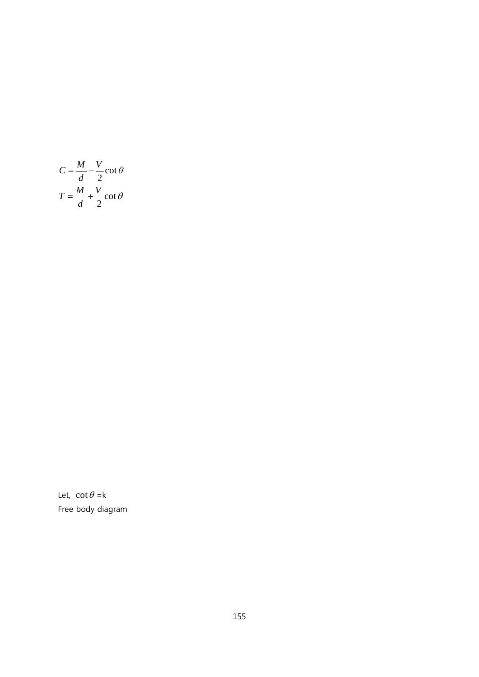$$
C = \frac{M}{d} - \frac{V}{2} \cot \theta
$$

$$
T = \frac{M}{d} + \frac{V}{2} \cot \theta
$$

Let,  $\cot \theta = k$ Free body diagram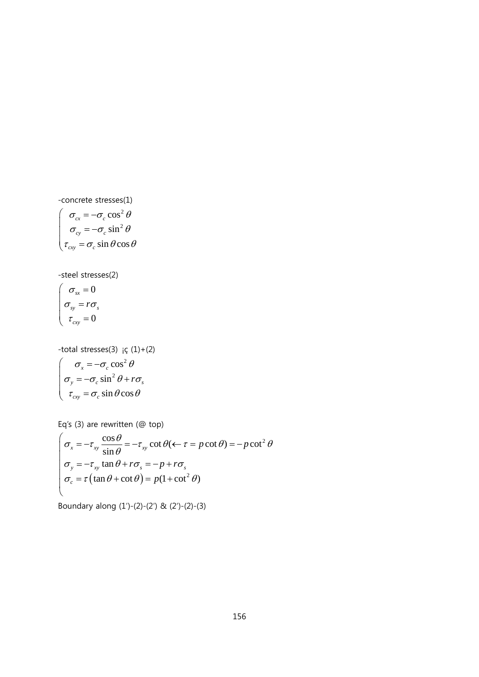-concrete stresses(1) *cx cy cxy* σ σ  $\tau = \sigma$  $\left\{ \begin{array}{r} \sigma_{cx} = \ \sigma_{cy} = \end{array} \right.$  $\Bigl(\tau_{\rm\scriptscriptstyle CY}=$ 2 2 cos sin  $\sin \theta \cos$ *c c c*  $\sigma$  cos<sup>2</sup> $\theta$  $\sigma$  sin<sup>2</sup> $\theta$  $\sigma \sin \theta$ − − θ

-steel stresses(2)

$$
\begin{cases}\n\sigma_{sx} = 0 \\
\sigma_{sy} = r\sigma_{s} \\
\tau_{cxy} = 0\n\end{cases}
$$

-total stresses $(3)$   $\in (1)+(2)$ *x y cxy* σ σ τ  $\big($  $\sigma_y = \left( \tau_{\text{cxy}} =$ 2 2 cos sin  $\sin \theta$ co *c c c*  $\sigma$  cos<sup>2</sup> $\theta$  $\sigma$  sin<sup>2</sup>  $\theta$  $\sigma \sin \theta$ = − +  $=\sigma_c \sin \theta \cos$  $r\sigma_s$ θ

Eq's  $(3)$  are rewritten  $(②$  top)

$$
\begin{cases}\n\sigma_x = -\tau_{xy} \frac{\cos \theta}{\sin \theta} = -\tau_{xy} \cot \theta (\leftarrow \tau = p \cot \theta) = -p \cot^2 \theta \\
\sigma_y = -\tau_{xy} \tan \theta + r \sigma_x = -p + r \sigma_x \\
\sigma_c = \tau (\tan \theta + \cot \theta) = p(1 + \cot^2 \theta)\n\end{cases}
$$

Bounda ry along (1′) )-(2)-(2′) & (2 2′)-(2)-(3)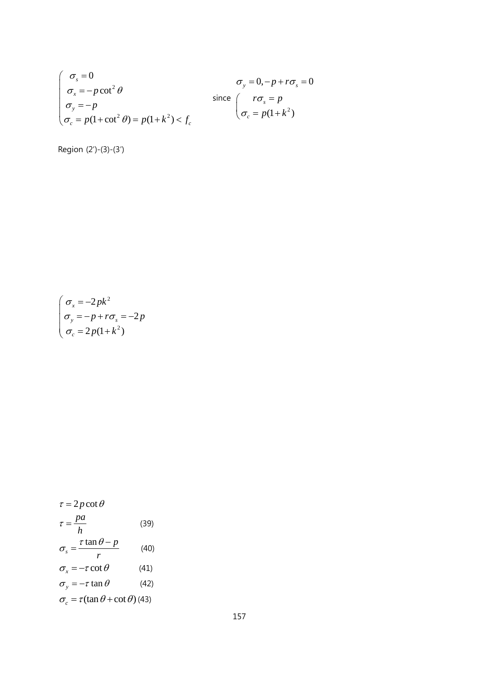$$
\begin{cases}\n\sigma_s = 0 & \sigma_y = 0, -p + r\sigma_s = 0 \\
\sigma_x = -p \cot^2 \theta & \text{since } \sigma_y = p \\
\sigma_y = -p & \sigma_z = p(1 + \cot^2 \theta) = p(1 + k^2) < f_c\n\end{cases}
$$

Region (2′)-(3)-(3′)

$$
\begin{cases}\n\sigma_x = -2pk^2 \\
\sigma_y = -p + r\sigma_s = -2p \\
\sigma_c = 2p(1 + k^2)\n\end{cases}
$$

$$
\tau = 2p \cot \theta
$$
\n
$$
\tau = \frac{pa}{h} \tag{39}
$$
\n
$$
\sigma_s = \frac{\tau \tan \theta - p}{r} \tag{40}
$$
\n
$$
\sigma_x = -\tau \cot \theta \tag{41}
$$
\n
$$
\sigma_y = -\tau \tan \theta \tag{42}
$$
\n
$$
\sigma_c = \tau (\tan \theta + \cot \theta) \tag{43}
$$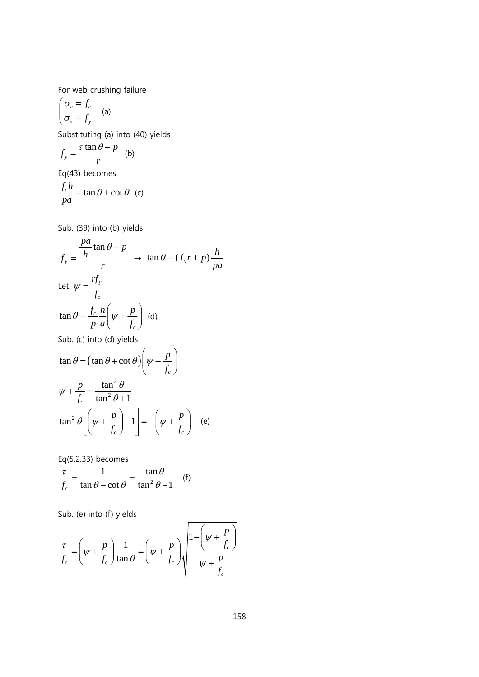For web crushing failure

$$
\begin{cases} \sigma_c = f_c \\ \sigma_s = f_y \end{cases}
$$
 (a)

Substituting (a) into (40) yields

$$
f_y = \frac{\tau \tan \theta - p}{r}
$$
 (b)

Eq(43) becomes

$$
\frac{f_c h}{p a} = \tan \theta + \cot \theta
$$
 (c)

Sub. (39) into (b) yields

$$
f_y = \frac{\frac{pa}{h} \tan \theta - p}{r} \rightarrow \tan \theta = (f_y r + p) \frac{h}{pa}
$$
  
Let  $\psi = \frac{rf_y}{f_c}$   

$$
\tan \theta = \frac{f_c}{p} \frac{h}{a} \left( \psi + \frac{p}{f_c} \right) \text{ (d)}
$$
  
Sub. (c) into (d) yields  

$$
\tan \theta = (\tan \theta + \cot \theta) \left( \psi + \frac{p}{f_c} \right)
$$

$$
\psi + \frac{p}{f_c} = \frac{\tan^2 \theta}{\tan^2 \theta + 1}
$$

$$
\tan^2 \theta \left[ \left( \psi + \frac{p}{f_c} \right) - 1 \right] = -\left( \psi + \frac{p}{f_c} \right) \text{ (e)}
$$

Eq(5.2.33) becomes

$$
\frac{\tau}{f_c} = \frac{1}{\tan \theta + \cot \theta} = \frac{\tan \theta}{\tan^2 \theta + 1} \quad \text{(f)}
$$

Sub. (e) into (f) yields

$$
\frac{\tau}{f_c} = \left(\psi + \frac{p}{f_c}\right) \frac{1}{\tan \theta} = \left(\psi + \frac{p}{f_c}\right) \sqrt{\frac{1 - \left(\psi + \frac{p}{f_c}\right)}{\psi + \frac{p}{f_c}}}
$$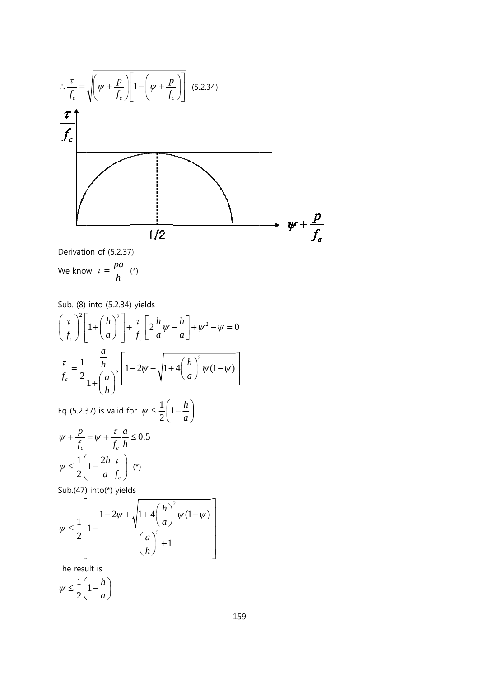<sup>⎡</sup> <sup>⎛</sup> <sup>⎢</sup> − + <sup>⎜</sup> ⎢⎣ <sup>⎝</sup> ⎞⎤ ⎛ ⎞ ⎜ ⎟ <sup>+</sup> *p p* τ ∴ = 1 ⎟⎥ (5.2.34) )*<sup>f</sup>* <sup>ψ</sup> *<sup>f</sup>* <sup>ψ</sup> *cf* ⎝ ⎠ ⎠⎥⎦ *c c* 

Derivation of (5.2.37)

We know 
$$
\tau = \frac{pa}{h}
$$
 (\*)

Sub. (8) into (5.2.34) yields  
\n
$$
\left(\frac{\tau}{f_c}\right)^2 \left[1 + \left(\frac{h}{a}\right)^2\right] + \frac{\tau}{f_c} \left[2\frac{h}{a}\psi - \frac{h}{a}\right] + \psi^2 - \psi = 0
$$
\n
$$
\frac{\tau}{f_c} = \frac{1}{2} \frac{\frac{a}{h}}{1 + \left(\frac{a}{h}\right)^2} \left[1 - 2\psi + \sqrt{1 + 4\left(\frac{h}{a}\right)^2 \psi(1 - \psi)}\right]
$$
\nEq (5.2.37) is valid for  $\psi \leq \frac{1}{2} \left(1 - \frac{h}{a}\right)$ 

$$
\psi + \frac{p}{f_c} = \psi + \frac{\tau}{f_c} \frac{a}{h} \le 0.5
$$

$$
\psi \le \frac{1}{2} \left( 1 - \frac{2h}{a} \frac{\tau}{f_c} \right) (*)
$$

Sub.(47) into(\*) yields

$$
\psi \leq \frac{1}{2} \left[ 1 - \frac{1 - 2\psi + \sqrt{1 + 4\left(\frac{h}{a}\right)^2 \psi(1 - \psi)}}{\left(\frac{a}{h}\right)^2 + 1} \right]
$$

The result is

1  $\psi \leq \frac{1}{2}$  $1-\frac{h}{h}$  $\left(1-\frac{h}{a}\right)$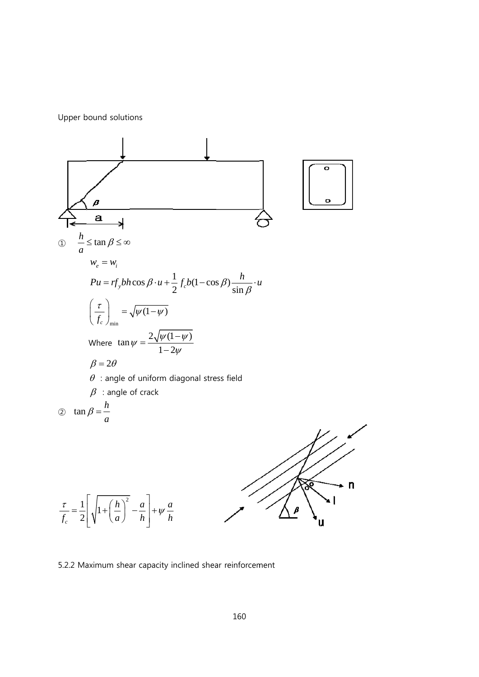Upper b bound soluti ons



5.2.2 Maximum shear capacity inclined shear reinforcement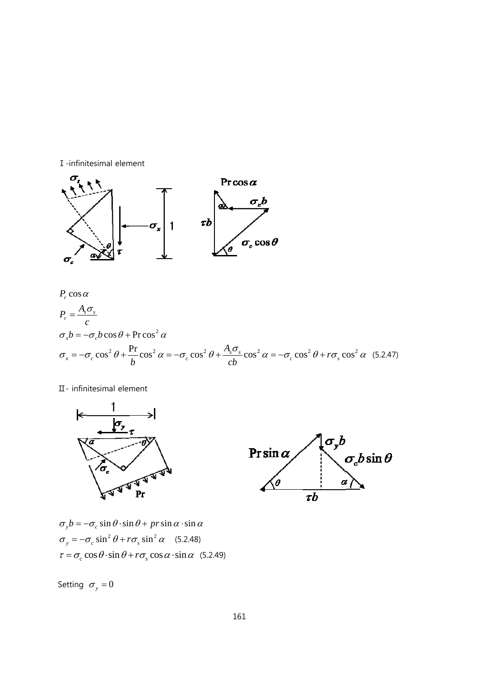



 $P_r \cos \alpha$ <br> $A \sigma$ 

$$
P_r = \frac{A_s \sigma_s}{c}
$$
  
\n
$$
\sigma_x b = -\sigma_c b \cos \theta + \text{Procs}^2 \alpha
$$
  
\n
$$
\sigma_x = -\sigma_c \cos^2 \theta + \frac{\text{Pr}}{b} \cos^2 \alpha = -\sigma_c \cos^2 \theta + \frac{A_s \sigma_s}{cb} \cos^2 \alpha = -\sigma_c \cos^2 \theta + r \sigma_s \cos^2 \alpha
$$
 (5.2.47)

Ⅱ- infin nitesimal elem ment





 $\sigma_y b = -\sigma_c \sin \theta \cdot \sin \theta + pr \sin \alpha \cdot \sin \alpha$  $\sigma_y = -\sigma_c \sin^2 \theta + r \sigma_s \sin^2 \alpha$  (5.2.48)  $\tau = \sigma_c \cos \theta \cdot \sin \theta + r \sigma_s \cos \alpha \cdot \sin \alpha$  (5.2.49)

Setting  $\sigma_y = 0$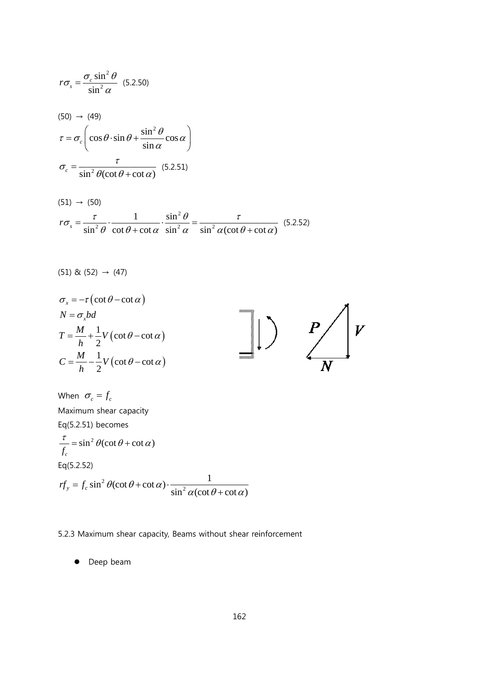$$
r\sigma_s = \frac{\sigma_c \sin^2 \theta}{\sin^2 \alpha} (5.2.50)
$$
  
(50)  $\rightarrow$  (49)  

$$
\tau = \sigma_c \left( \cos \theta \cdot \sin \theta + \frac{\sin^2 \theta}{\sin \alpha} \cos \alpha \right)
$$

$$
\sigma_c = \frac{\tau}{\sin^2 \theta (\cot \theta + \cot \alpha)} (5.2.51)
$$

$$
(51) \rightarrow (50)
$$
  

$$
r\sigma_s = \frac{\tau}{\sin^2 \theta} \cdot \frac{1}{\cot \theta + \cot \alpha} \cdot \frac{\sin^2 \theta}{\sin^2 \alpha} = \frac{\tau}{\sin^2 \alpha (\cot \theta + \cot \alpha)} \quad (5.2.52)
$$

$$
(51) & (52) \rightarrow (47)
$$

$$
\sigma_x = -\tau (\cot \theta - \cot \alpha)
$$
  
\n
$$
N = \sigma_x bd
$$
  
\n
$$
T = \frac{M}{h} + \frac{1}{2} V (\cot \theta - \cot \alpha)
$$
  
\n
$$
C = \frac{M}{h} - \frac{1}{2} V (\cot \theta - \cot \alpha)
$$

When  $\sigma_c = f_c$ Maximum shear capacity Eq(5.2.51) becomes  $\frac{\tau}{f_c} = \sin^2 \theta (\cot \theta + \cot \alpha)$  $Eq(5.2.52)$  $rf_y = f_c \sin^2 \theta(\cot \theta + \cot \alpha) \cdot \frac{1}{\sin^2 \alpha(\cot \theta + \cot \alpha)}$ 

## 5.2.3 Maximum shear capacity, Beams without shear reinforcement

• Deep beam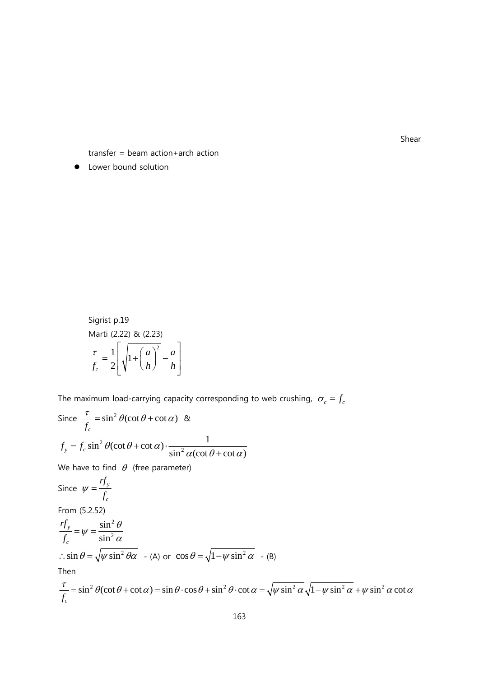Shear

transfer = beam action+arch action

• Lower bound solution

Sigrist p.19  
Marti (2.22) & (2.23)  

$$
\frac{\tau}{f_c} = \frac{1}{2} \left[ \sqrt{1 + \left( \frac{a}{h} \right)^2} - \frac{a}{h} \right]
$$

The maximum load-carrying capacity corresponding to web crushing,  $\sigma_c = f_c$ 

Since 
$$
\frac{\tau}{f_c} = \sin^2 \theta (\cot \theta + \cot \alpha)
$$
 &  
\n $f_y = f_c \sin^2 \theta (\cot \theta + \cot \alpha) \cdot \frac{1}{\sin^2 \alpha (\cot \theta + \cot \alpha)}$   
\nWe have to find  $\theta$  (free parameter)  
\nSince  $\psi = \frac{rf_y}{f_c}$   
\nFrom (5.2.52)  
\n $\frac{rf_y}{f_c} = \psi = \frac{\sin^2 \theta}{\sin^2 \alpha}$   
\n $\therefore \sin \theta = \sqrt{\psi \sin^2 \theta \alpha}$  - (A) or  $\cos \theta = \sqrt{1 - \psi \sin^2 \alpha}$  - (B)  
\nThen  
\n $\frac{\tau}{f_c} = \sin^2 \theta (\cot \theta + \cot \alpha) = \sin \theta \cdot \cos \theta + \sin^2 \theta \cdot \cot \alpha = \sqrt{\psi \sin^2 \alpha} \sqrt{1 - \psi \sin^2 \alpha} + \psi \sin^2 \alpha \cot \alpha$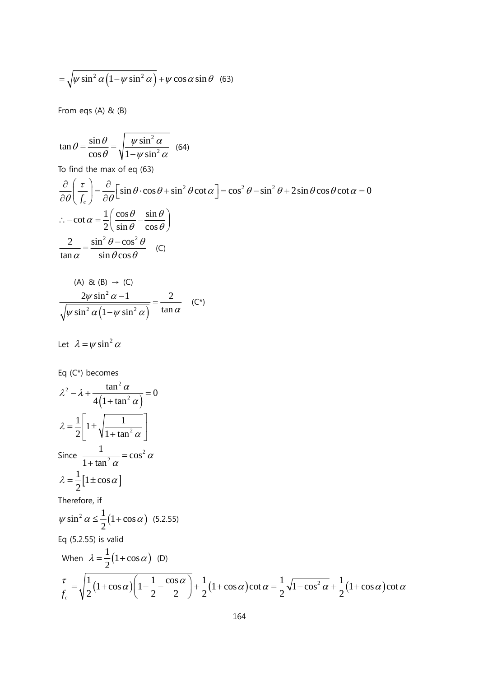$$
= \sqrt{\psi \sin^2 \alpha \left(1 - \psi \sin^2 \alpha\right)} + \psi \cos \alpha \sin \theta \quad (63)
$$

From eqs (A) & (B)

$$
\tan \theta = \frac{\sin \theta}{\cos \theta} = \sqrt{\frac{\psi \sin^2 \alpha}{1 - \psi \sin^2 \alpha}} \quad (64)
$$

To find the max of eq (63)

$$
\frac{\partial}{\partial \theta} \left( \frac{\tau}{f_c} \right) = \frac{\partial}{\partial \theta} \left[ \sin \theta \cdot \cos \theta + \sin^2 \theta \cot \alpha \right] = \cos^2 \theta - \sin^2 \theta + 2 \sin \theta \cos \theta \cot \alpha = 0
$$
  
\n
$$
\therefore -\cot \alpha = \frac{1}{2} \left( \frac{\cos \theta}{\sin \theta} - \frac{\sin \theta}{\cos \theta} \right)
$$
  
\n
$$
\frac{2}{\tan \alpha} = \frac{\sin^2 \theta - \cos^2 \theta}{\sin \theta \cos \theta} \quad (C)
$$

(A) & (B) 
$$
\rightarrow
$$
 (C)  
\n
$$
\frac{2\psi \sin^2 \alpha - 1}{\sqrt{\psi \sin^2 \alpha (1 - \psi \sin^2 \alpha)}} = \frac{2}{\tan \alpha} \quad (C^*)
$$

Let  $\lambda = \psi \sin^2 \alpha$ 

Eq (C\*) becomes  
\n
$$
\lambda^2 - \lambda + \frac{\tan^2 \alpha}{4(1 + \tan^2 \alpha)} = 0
$$
\n
$$
\lambda = \frac{1}{2} \left[ 1 \pm \sqrt{\frac{1}{1 + \tan^2 \alpha}} \right]
$$
\nSince  $\frac{1}{1 + \tan^2 \alpha} = \cos^2 \alpha$   
\n
$$
\lambda = \frac{1}{2} [1 \pm \cos \alpha]
$$
\nTherefore, if  
\n
$$
\psi \sin^2 \alpha \le \frac{1}{2} (1 + \cos \alpha) \quad (5.2.55)
$$
\nEq (5.2.55) is valid  
\nWhen  $\lambda = \frac{1}{2} (1 + \cos \alpha)$  (D)  
\n
$$
\frac{\tau}{f_c} = \sqrt{\frac{1}{2} (1 + \cos \alpha) \left(1 - \frac{1}{2} - \frac{\cos \alpha}{2}\right)} + \frac{1}{2} (1 + \cos \alpha) \cot \alpha = \frac{1}{2} \sqrt{1 - \cos^2 \alpha} + \frac{1}{2} (1 + \cos \alpha) \cot \alpha
$$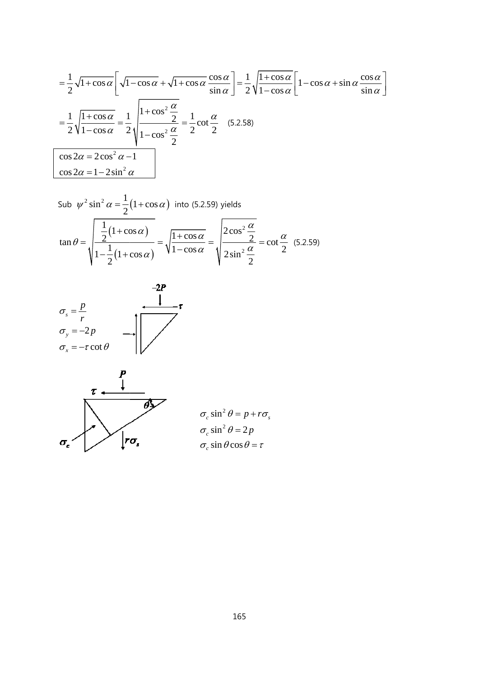$$
= \frac{1}{2}\sqrt{1+\cos\alpha}\left[\sqrt{1-\cos\alpha} + \sqrt{1+\cos\alpha}\frac{\cos\alpha}{\sin\alpha}\right] = \frac{1}{2}\sqrt{\frac{1+\cos\alpha}{1-\cos\alpha}}\left[1-\cos\alpha+\sin\alpha\frac{\cos\alpha}{\sin\alpha}\right]
$$

$$
= \frac{1}{2}\sqrt{\frac{1+\cos\alpha}{1-\cos\alpha}} = \frac{1}{2}\sqrt{\frac{1+\cos^2\frac{\alpha}{2}}{1-\cos^2\frac{\alpha}{2}}} = \frac{1}{2}\cot\frac{\alpha}{2} \quad (5.2.58)
$$

$$
\cos 2\alpha = 2\cos^2\alpha - 1
$$

$$
\cos 2\alpha = 1 - 2\sin^2\alpha
$$

Sub 
$$
\psi^2 \sin^2 \alpha = \frac{1}{2} (1 + \cos \alpha)
$$
 into (5.2.59) yields  
\n
$$
\tan \theta = \sqrt{\frac{\frac{1}{2} (1 + \cos \alpha)}{1 - \frac{1}{2} (1 + \cos \alpha)}} = \sqrt{\frac{1 + \cos \alpha}{1 - \cos \alpha}} = \sqrt{\frac{2 \cos^2 \frac{\alpha}{2}}{2 \sin^2 \frac{\alpha}{2}}} = \cot \frac{\alpha}{2}
$$
 (5.2.59)



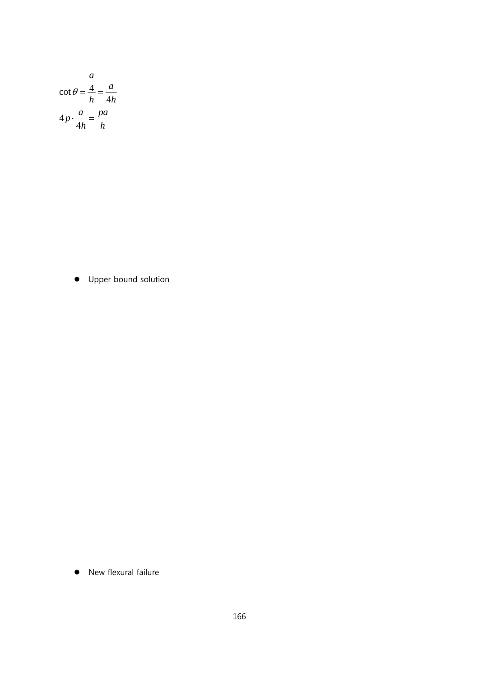$$
\cot \theta = \frac{\frac{a}{4}}{h} = \frac{a}{4h}
$$

$$
4p \cdot \frac{a}{4h} = \frac{pa}{h}
$$

• Upper bound solution

New flexural failure  $\bullet$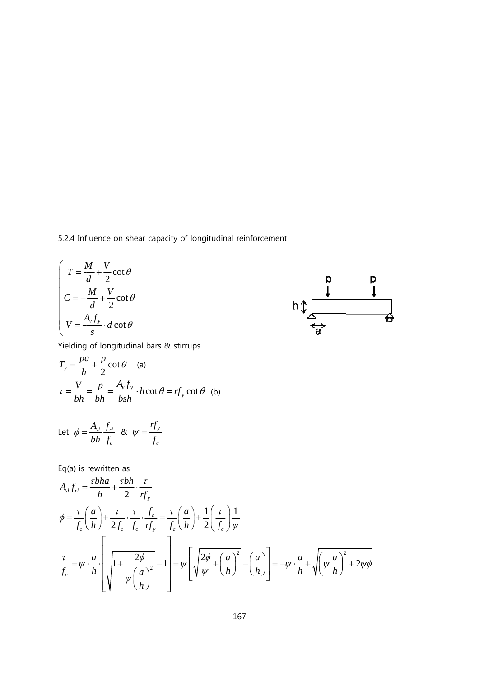5.2.4 Influence on shear capacity of longitudinal reinforcement

$$
\begin{cases}\nT = \frac{M}{d} + \frac{V}{2} \cot \theta \\
C = -\frac{M}{d} + \frac{V}{2} \cot \theta \\
V = \frac{A_y f_y}{s} \cdot d \cot \theta\n\end{cases}
$$



Yielding of longitud dinal bars & stirrups

$$
T_y = \frac{pa}{h} + \frac{p}{2} \cot \theta
$$
 (a)  

$$
\tau = \frac{V}{bh} = \frac{p}{bh} = \frac{A_y f_y}{bsh} \cdot h \cot \theta = rf_y \cot \theta
$$
 (b)

Let 
$$
\phi = \frac{A_{sl}}{bh} \frac{f_{rl}}{f_c}
$$
 &  $\psi = \frac{rf_y}{f_c}$ 

Eq(a) is rewritten as

$$
A_{sl}f_{rl} = \frac{\tau bha}{h} + \frac{\tau bh}{2} \cdot \frac{\tau}{rf_y}
$$
  
\n
$$
\phi = \frac{\tau}{f_c} \left(\frac{a}{h}\right) + \frac{\tau}{2f_c} \cdot \frac{\tau}{f_c} \cdot \frac{f_c}{rf_y} = \frac{\tau}{f_c} \left(\frac{a}{h}\right) + \frac{1}{2} \left(\frac{\tau}{f_c}\right) \frac{1}{\psi}
$$
  
\n
$$
\frac{\tau}{f_c} = \psi \cdot \frac{a}{h} \cdot \left[\sqrt{1 + \frac{2\phi}{\psi \left(\frac{a}{h}\right)^2} - 1}\right] = \psi \left[\sqrt{\frac{2\phi}{\psi} + \left(\frac{a}{h}\right)^2} - \left(\frac{a}{h}\right)\right] = -\psi \cdot \frac{a}{h} + \sqrt{\psi \frac{a}{h}}^2 + 2\psi\phi
$$